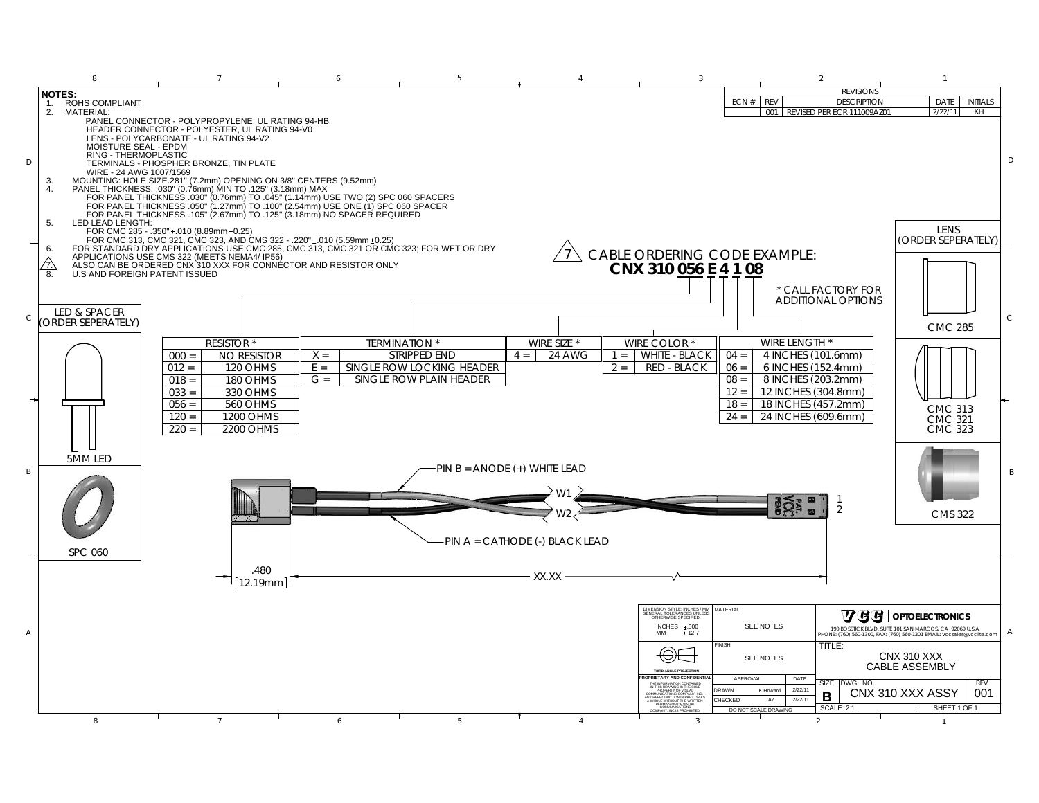